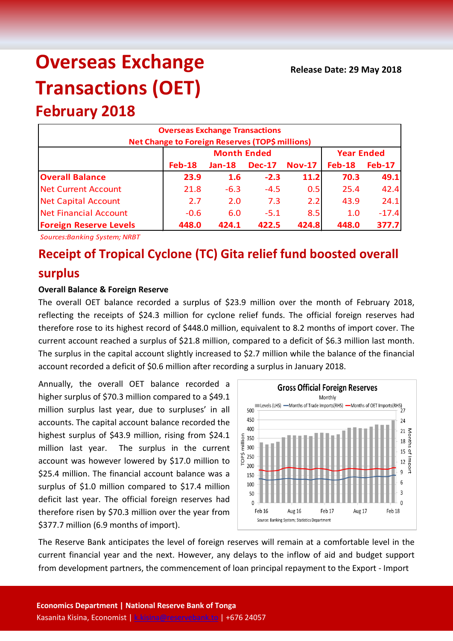# **Overseas Exchange Transactions (OET)**

# **February 2018**

| <b>Overseas Exchange Transactions</b><br><b>Net Change to Foreign Reserves (TOP\$ millions)</b> |               |                    |                   |               |               |               |  |
|-------------------------------------------------------------------------------------------------|---------------|--------------------|-------------------|---------------|---------------|---------------|--|
|                                                                                                 |               | <b>Month Ended</b> | <b>Year Ended</b> |               |               |               |  |
|                                                                                                 | <b>Feb-18</b> | $Jan-18$           | <b>Dec-17</b>     | <b>Nov-17</b> | <b>Feb-18</b> | <b>Feb-17</b> |  |
| <b>Overall Balance</b>                                                                          | 23.9          | 1.6                | $-2.3$            | 11.2          | 70.3          | 49.1          |  |
| <b>Net Current Account</b>                                                                      | 21.8          | $-6.3$             | $-4.5$            | 0.5           | 25.4          | 42.4          |  |
| <b>Net Capital Account</b>                                                                      | 2.7           | 2.0                | 7.3               | 2.2           | 43.9          | 24.1          |  |
| <b>Net Financial Account</b>                                                                    | $-0.6$        | 6.0                | $-5.1$            | 8.5           | 1.0           | $-17.4$       |  |
| <b>Foreign Reserve Levels</b>                                                                   | 448.0         | 424.1              | 422.5             | 424.8         | 448.0         | 377.7         |  |

*Sources:Banking System; NRBT*

# **Receipt of Tropical Cyclone (TC) Gita relief fund boosted overall surplus**

## **Overall Balance & Foreign Reserve**

The overall OET balance recorded a surplus of \$23.9 million over the month of February 2018, reflecting the receipts of \$24.3 million for cyclone relief funds. The official foreign reserves had therefore rose to its highest record of \$448.0 million, equivalent to 8.2 months of import cover. The current account reached a surplus of \$21.8 million, compared to a deficit of \$6.3 million last month. The surplus in the capital account slightly increased to \$2.7 million while the balance of the financial account recorded a deficit of \$0.6 million after recording a surplus in January 2018.

Annually, the overall OET balance recorded a higher surplus of \$70.3 million compared to a \$49.1 million surplus last year, due to surpluses' in all accounts. The capital account balance recorded the highest surplus of \$43.9 million, rising from \$24.1 million last year. The surplus in the current account was however lowered by \$17.0 million to \$25.4 million. The financial account balance was a surplus of \$1.0 million compared to \$17.4 million deficit last year. The official foreign reserves had therefore risen by \$70.3 million over the year from \$377.7 million (6.9 months of import).



The Reserve Bank anticipates the level of foreign reserves will remain at a comfortable level in the current financial year and the next. However, any delays to the inflow of aid and budget support from development partners, the commencement of loan principal repayment to the Export - Import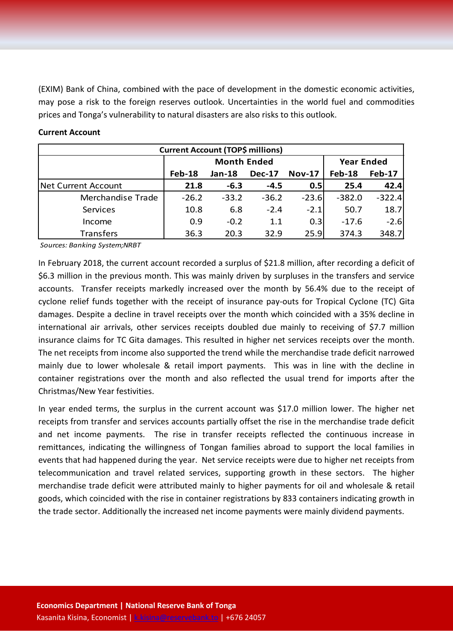(EXIM) Bank of China, combined with the pace of development in the domestic economic activities, may pose a risk to the foreign reserves outlook. Uncertainties in the world fuel and commodities prices and Tonga's vulnerability to natural disasters are also risks to this outlook.

#### **Current Account**

| <b>Current Account (TOP\$ millions)</b> |                    |          |               |               |                   |               |  |
|-----------------------------------------|--------------------|----------|---------------|---------------|-------------------|---------------|--|
|                                         | <b>Month Ended</b> |          |               |               | <b>Year Ended</b> |               |  |
|                                         | Feb-18             | $Jan-18$ | <b>Dec-17</b> | <b>Nov-17</b> | <b>Feb-18</b>     | <b>Feb-17</b> |  |
| Net Current Account                     | 21.8               | $-6.3$   | $-4.5$        | 0.5           | 25.4              | 42.4          |  |
| Merchandise Trade                       | $-26.2$            | $-33.2$  | $-36.2$       | $-23.6$       | $-382.0$          | $-322.4$      |  |
| Services                                | 10.8               | 6.8      | $-2.4$        | $-2.1$        | 50.7              | 18.7          |  |
| Income                                  | 0.9                | $-0.2$   | 1.1           | 0.3           | $-17.6$           | $-2.6$        |  |
| <b>Transfers</b>                        | 36.3               | 20.3     | 32.9          | 25.9          | 374.3             | 348.7         |  |

*Sources: Banking System;NRBT*

In February 2018, the current account recorded a surplus of \$21.8 million, after recording a deficit of \$6.3 million in the previous month. This was mainly driven by surpluses in the transfers and service accounts. Transfer receipts markedly increased over the month by 56.4% due to the receipt of cyclone relief funds together with the receipt of insurance pay-outs for Tropical Cyclone (TC) Gita damages. Despite a decline in travel receipts over the month which coincided with a 35% decline in international air arrivals, other services receipts doubled due mainly to receiving of \$7.7 million insurance claims for TC Gita damages. This resulted in higher net services receipts over the month. The net receipts from income also supported the trend while the merchandise trade deficit narrowed mainly due to lower wholesale & retail import payments. This was in line with the decline in container registrations over the month and also reflected the usual trend for imports after the Christmas/New Year festivities.

In year ended terms, the surplus in the current account was \$17.0 million lower. The higher net receipts from transfer and services accounts partially offset the rise in the merchandise trade deficit and net income payments. The rise in transfer receipts reflected the continuous increase in remittances, indicating the willingness of Tongan families abroad to support the local families in events that had happened during the year. Net service receipts were due to higher net receipts from telecommunication and travel related services, supporting growth in these sectors. The higher merchandise trade deficit were attributed mainly to higher payments for oil and wholesale & retail goods, which coincided with the rise in container registrations by 833 containers indicating growth in the trade sector. Additionally the increased net income payments were mainly dividend payments.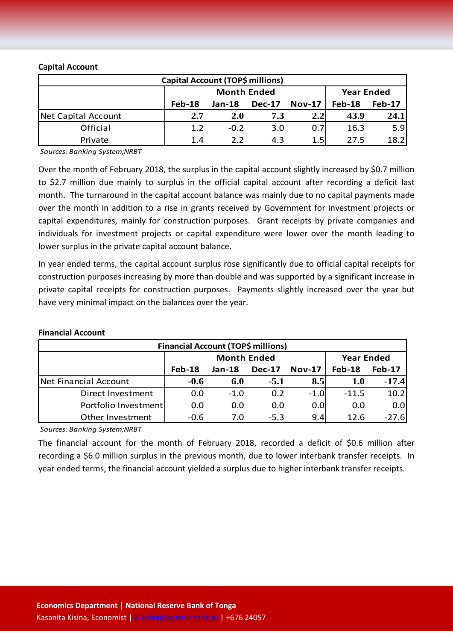## **Capital Account**

| Capital Account (TOP\$ millions) |                    |            |               |               |                   |               |
|----------------------------------|--------------------|------------|---------------|---------------|-------------------|---------------|
|                                  | <b>Month Ended</b> |            |               |               | <b>Year Ended</b> |               |
|                                  | Feb-18             | $Jan-18$   | <b>Dec-17</b> | <b>Nov-17</b> | <b>Feb-18</b>     | <b>Feb-17</b> |
| Net Capital Account              | 2.7                | <b>2.0</b> | 7.3           | 2.2           | 43.9              | 24.1          |
| Official                         | 1.2                | $-0.2$     | 3.0           | 0.7           | 16.3              | 5.9           |
| Private                          | 1.4                | 2.2        | 4.3           | 1.5           | 27.5              | 18.2          |

*Sources: Banking System;NRBT*

Over the month of February 2018, the surplus in the capital account slightly increased by \$0.7 million to \$2.7 million due mainly to surplus in the official capital account after recording a deficit last month. The turnaround in the capital account balance was mainly due to no capital payments made over the month in addition to a rise in grants received by Government for investment projects or capital expenditures, mainly for construction purposes. Grant receipts by private companies and individuals for investment projects or capital expenditure were lower over the month leading to lower surplus in the private capital account balance.

In year ended terms, the capital account surplus rose significantly due to official capital receipts for construction purposes increasing by more than double and was supported by a significant increase in private capital receipts for construction purposes. Payments slightly increased over the year but have very minimal impact on the balances over the year.

| <b>Financial Account (TOP\$ millions)</b> |                    |               |               |               |                   |               |  |
|-------------------------------------------|--------------------|---------------|---------------|---------------|-------------------|---------------|--|
|                                           | <b>Month Ended</b> |               |               |               | <b>Year Ended</b> |               |  |
|                                           | Feb-18             | <b>Jan-18</b> | <b>Dec-17</b> | <b>Nov-17</b> | Feb-18            | <b>Feb-17</b> |  |
| Net Financial Account                     | $-0.6$             | 6.0           | $-5.1$        | 8.5           | <b>1.0</b>        | $-17.4$       |  |
| Direct Investment                         | 0.0                | $-1.0$        | 0.2           | $-1.0$        | $-11.5$           | 10.2          |  |
| Portfolio Investment                      | 0.0                | 0.0           | 0.0           | 0.0           | 0.0               | 0.0           |  |
| Other Investment                          | $-0.6$             | 7.0           | $-5.3$        | 9.4           | 12.6              | $-27.6$       |  |

### **Financial Account**

*Sources: Banking System;NRBT*

The financial account for the month of February 2018, recorded a deficit of \$0.6 million after recording a \$6.0 million surplus in the previous month, due to lower interbank transfer receipts. In year ended terms, the financial account yielded a surplus due to higher interbank transfer receipts.